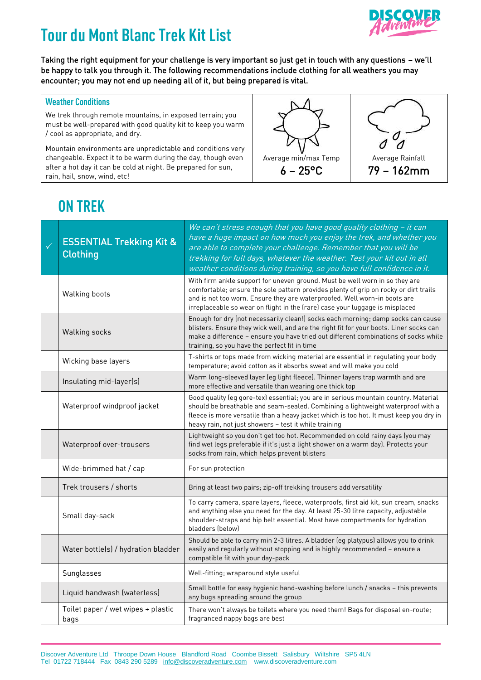# **Tour du Mont Blanc Trek KitList**



Taking the right equipment for your challenge is very important so just get in touch with any questions – we'll be happy to talk you through it. The following recommendations include clothing for all weathers you may encounter; you may not end up needing all of it, but being prepared is vital.

#### **Weather Conditions**

We trek through remote mountains, in exposed terrain; you must be well-prepared with good quality kit to keep you warm / cool as appropriate, and dry.

Mountain environments are unpredictable and conditions very changeable. Expect it to be warm during the day, though even after a hot day it can be cold at night. Be prepared for sun, rain, hail, snow, wind, etc!





79 – 162mm

## **ON TREK**

| <b>ESSENTIAL Trekking Kit &amp;</b><br><b>Clothing</b> | We can't stress enough that you have good quality clothing - it can<br>have a huge impact on how much you enjoy the trek, and whether you<br>are able to complete your challenge. Remember that you will be<br>trekking for full days, whatever the weather. Test your kit out in all<br>weather conditions during training, so you have full confidence in it. |
|--------------------------------------------------------|-----------------------------------------------------------------------------------------------------------------------------------------------------------------------------------------------------------------------------------------------------------------------------------------------------------------------------------------------------------------|
| Walking boots                                          | With firm ankle support for uneven ground. Must be well worn in so they are<br>comfortable; ensure the sole pattern provides plenty of grip on rocky or dirt trails<br>and is not too worn. Ensure they are waterproofed. Well worn-in boots are<br>irreplaceable so wear on flight in the (rare) case your luggage is misplaced                                |
| Walking socks                                          | Enough for dry (not necessarily clean!) socks each morning; damp socks can cause<br>blisters. Ensure they wick well, and are the right fit for your boots. Liner socks can<br>make a difference - ensure you have tried out different combinations of socks while<br>training, so you have the perfect fit in time                                              |
| Wicking base layers                                    | T-shirts or tops made from wicking material are essential in regulating your body<br>temperature; avoid cotton as it absorbs sweat and will make you cold                                                                                                                                                                                                       |
| Insulating mid-layer(s)                                | Warm long-sleeved layer (eg light fleece). Thinner layers trap warmth and are<br>more effective and versatile than wearing one thick top                                                                                                                                                                                                                        |
| Waterproof windproof jacket                            | Good quality (eg gore-tex) essential; you are in serious mountain country. Material<br>should be breathable and seam-sealed. Combining a lightweight waterproof with a<br>fleece is more versatile than a heavy jacket which is too hot. It must keep you dry in<br>heavy rain, not just showers - test it while training                                       |
| Waterproof over-trousers                               | Lightweight so you don't get too hot. Recommended on cold rainy days (you may<br>find wet legs preferable if it's just a light shower on a warm day). Protects your<br>socks from rain, which helps prevent blisters                                                                                                                                            |
| Wide-brimmed hat / cap                                 | For sun protection                                                                                                                                                                                                                                                                                                                                              |
| Trek trousers / shorts                                 | Bring at least two pairs; zip-off trekking trousers add versatility                                                                                                                                                                                                                                                                                             |
| Small day-sack                                         | To carry camera, spare layers, fleece, waterproofs, first aid kit, sun cream, snacks<br>and anything else you need for the day. At least 25-30 litre capacity, adjustable<br>shoulder-straps and hip belt essential. Most have compartments for hydration<br>bladders (below)                                                                                   |
| Water bottle(s) / hydration bladder                    | Should be able to carry min 2-3 litres. A bladder (eg platypus) allows you to drink<br>easily and regularly without stopping and is highly recommended - ensure a<br>compatible fit with your day-pack                                                                                                                                                          |
| Sunglasses                                             | Well-fitting; wraparound style useful                                                                                                                                                                                                                                                                                                                           |
| Liquid handwash (waterless)                            | Small bottle for easy hygienic hand-washing before lunch / snacks - this prevents<br>any bugs spreading around the group                                                                                                                                                                                                                                        |
| Toilet paper / wet wipes + plastic<br>bags             | There won't always be toilets where you need them! Bags for disposal en-route;<br>fragranced nappy bags are best                                                                                                                                                                                                                                                |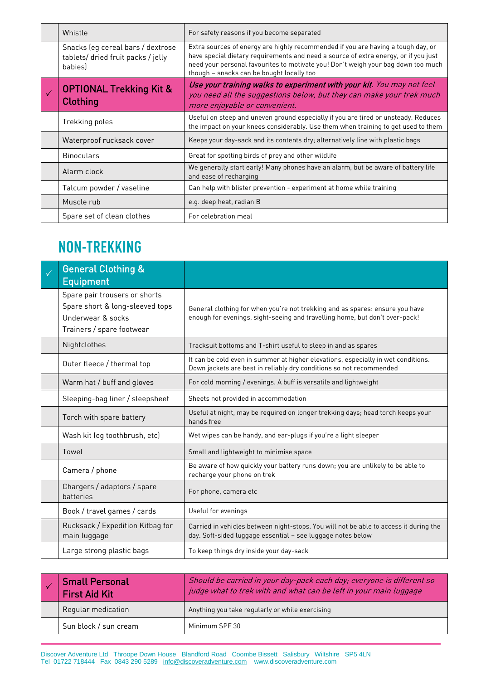| Whistle                                                                           | For safety reasons if you become separated                                                                                                                                                                                                                                                                |
|-----------------------------------------------------------------------------------|-----------------------------------------------------------------------------------------------------------------------------------------------------------------------------------------------------------------------------------------------------------------------------------------------------------|
| Snacks (eg cereal bars / dextrose<br>tablets/ dried fruit packs / jelly<br>babies | Extra sources of energy are highly recommended if you are having a tough day, or<br>have special dietary requirements and need a source of extra energy, or if you just<br>need your personal favourites to motivate you! Don't weigh your bag down too much<br>though - snacks can be bought locally too |
| <b>OPTIONAL Trekking Kit &amp;</b><br><b>Clothing</b>                             | Use your training walks to experiment with your kit. You may not feel<br>you need all the suggestions below, but they can make your trek much<br>more enjoyable or convenient.                                                                                                                            |
| Trekking poles                                                                    | Useful on steep and uneven ground especially if you are tired or unsteady. Reduces<br>the impact on your knees considerably. Use them when training to get used to them                                                                                                                                   |
| Waterproof rucksack cover                                                         | Keeps your day-sack and its contents dry; alternatively line with plastic bags                                                                                                                                                                                                                            |
| <b>Binoculars</b>                                                                 | Great for spotting birds of prey and other wildlife                                                                                                                                                                                                                                                       |
| Alarm clock                                                                       | We generally start early! Many phones have an alarm, but be aware of battery life<br>and ease of recharging                                                                                                                                                                                               |
| Talcum powder / vaseline                                                          | Can help with blister prevention - experiment at home while training                                                                                                                                                                                                                                      |
| Muscle rub                                                                        | e.g. deep heat, radian B                                                                                                                                                                                                                                                                                  |
| Spare set of clean clothes                                                        | For celebration meal                                                                                                                                                                                                                                                                                      |

### **NON-TREKKING**

| <b>General Clothing &amp;</b><br><b>Equipment</b>                                                                  |                                                                                                                                                             |
|--------------------------------------------------------------------------------------------------------------------|-------------------------------------------------------------------------------------------------------------------------------------------------------------|
| Spare pair trousers or shorts<br>Spare short & long-sleeved tops<br>Underwear & socks<br>Trainers / spare footwear | General clothing for when you're not trekking and as spares: ensure you have<br>enough for evenings, sight-seeing and travelling home, but don't over-pack! |
| Nightclothes                                                                                                       | Tracksuit bottoms and T-shirt useful to sleep in and as spares                                                                                              |
| Outer fleece / thermal top                                                                                         | It can be cold even in summer at higher elevations, especially in wet conditions.<br>Down jackets are best in reliably dry conditions so not recommended    |
| Warm hat / buff and gloves                                                                                         | For cold morning / evenings. A buff is versatile and lightweight                                                                                            |
| Sleeping-bag liner / sleepsheet                                                                                    | Sheets not provided in accommodation                                                                                                                        |
| Torch with spare battery                                                                                           | Useful at night, may be required on longer trekking days; head torch keeps your<br>hands free                                                               |
| Wash kit (eg toothbrush, etc)                                                                                      | Wet wipes can be handy, and ear-plugs if you're a light sleeper                                                                                             |
| Towel                                                                                                              | Small and lightweight to minimise space                                                                                                                     |
| Camera / phone                                                                                                     | Be aware of how quickly your battery runs down; you are unlikely to be able to<br>recharge your phone on trek                                               |
| Chargers / adaptors / spare<br>batteries                                                                           | For phone, camera etc                                                                                                                                       |
| Book / travel games / cards                                                                                        | Useful for evenings                                                                                                                                         |
| Rucksack / Expedition Kitbag for<br>main luggage                                                                   | Carried in vehicles between night-stops. You will not be able to access it during the<br>day. Soft-sided luggage essential - see luggage notes below        |
| Large strong plastic bags                                                                                          | To keep things dry inside your day-sack                                                                                                                     |

| <b>Small Personal</b><br><b>First Aid Kit</b> | Should be carried in your day-pack each day; everyone is different so<br>judge what to trek with and what can be left in your main luggage |
|-----------------------------------------------|--------------------------------------------------------------------------------------------------------------------------------------------|
| Regular medication                            | Anything you take regularly or while exercising                                                                                            |
| Sun block / sun cream                         | Minimum SPF 30                                                                                                                             |